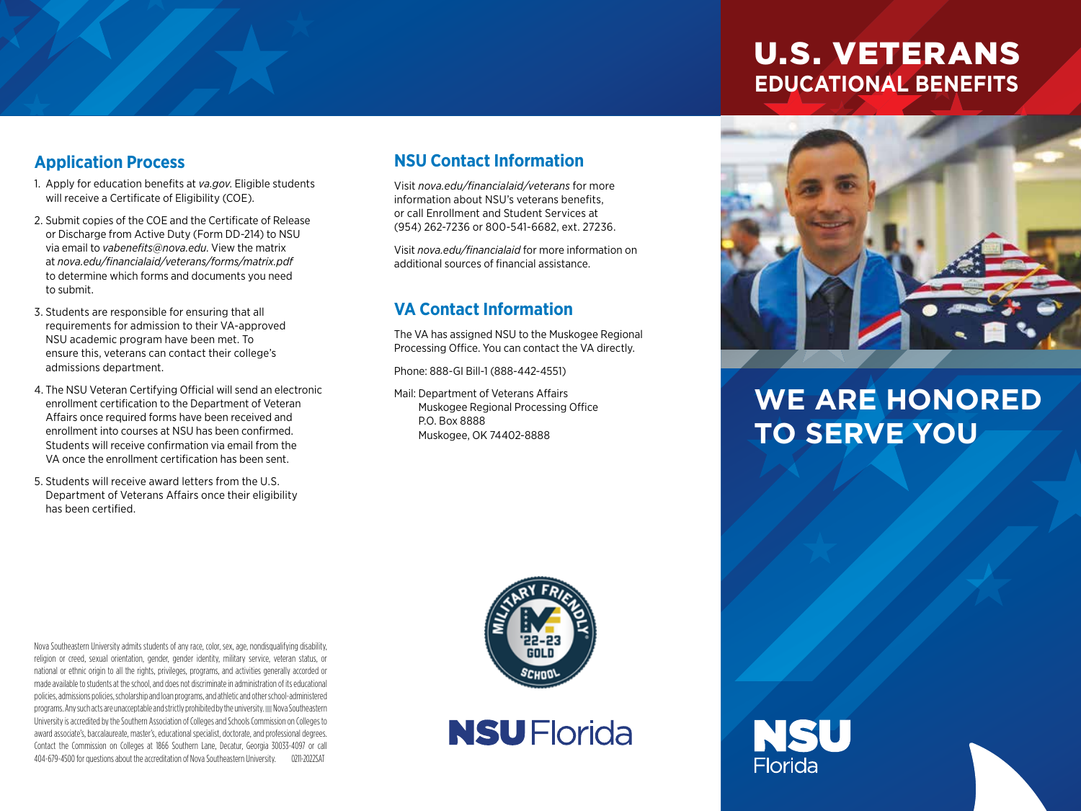### U.S. VETERANS **EDUCATIONAL BENEFITS**

#### **Application Process**

- 1. Apply for education benefits at *va.gov*. Eligible students will receive a Certificate of Eligibility (COE).
- 2. Submit copies of the COE and the Certificate of Release or Discharge from Active Duty (Form DD-214) to NSU via email to *vabenefits@nova.edu*. View the matrix at *nova.edu/financialaid/veterans/forms/matrix.pdf* to determine which forms and documents you need to submit.
- 3. Students are responsible for ensuring that all requirements for admission to their VA-approved NSU academic program have been met. To ensure this, veterans can contact their college's admissions department.
- 4. The NSU Veteran Certifying Official will send an electronic enrollment certification to the Department of Veteran Affairs once required forms have been received and enrollment into courses at NSU has been confirmed. Students will receive confirmation via email from the VA once the enrollment certification has been sent.
- 5. Students will receive award letters from the U.S. Department of Veterans Affairs once their eligibility has been certified.

#### **NSU Contact Information**

Visit *nova.edu/financialaid/veterans* for more information about NSU's veterans benefits, or call Enrollment and Student Services at (954) 262-7236 or 800-541-6682, ext. 27236.

Visit *nova.edu/financialaid* for more information on additional sources of financial assistance.

#### **VA Contact Information**

The VA has assigned NSU to the Muskogee Regional Processing Office. You can contact the VA directly.

Phone: 888-GI Bill-1 (888-442-4551)

Mail: Department of Veterans Affairs Muskogee Regional Processing Office P.O. Box 8888 Muskogee, OK 74402-8888



## **WE ARE HONORED TO SERVE YOU**





**NSU** Florida

NSU **Florida**